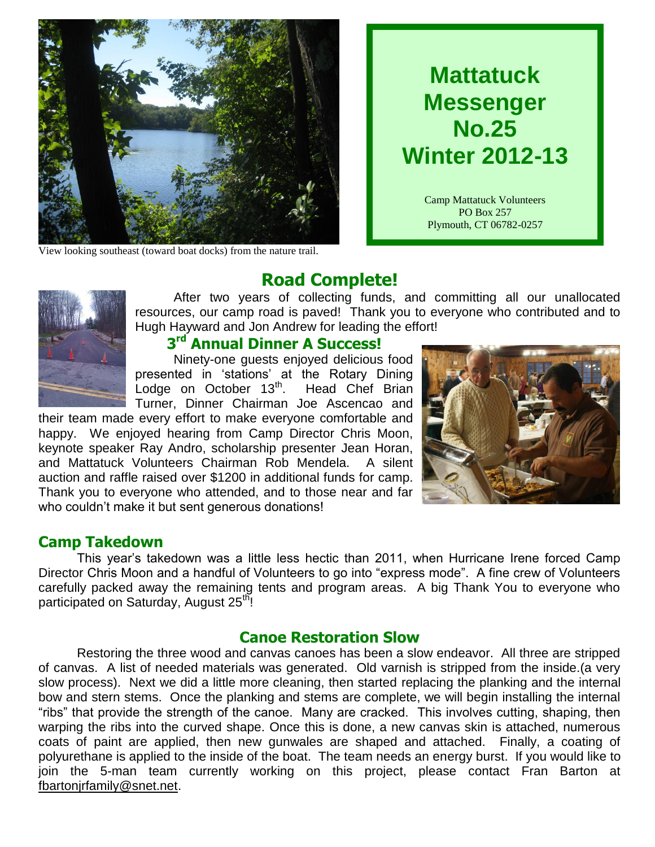

View looking southeast (toward boat docks) from the nature trail.

# **Mattatuck Messenger No.25 Winter 2012-13**

Camp Mattatuck Volunteers PO Box 257 Plymouth, CT 06782-0257

# **Road Complete!**

After two years of collecting funds, and committing all our unallocated resources, our camp road is paved! Thank you to everyone who contributed and to Hugh Hayward and Jon Andrew for leading the effort!

### **3 rd Annual Dinner A Success!**

Ninety-one guests enjoyed delicious food presented in 'stations' at the Rotary Dining Lodge on October 13<sup>th</sup>. Head Chef Brian Turner, Dinner Chairman Joe Ascencao and

their team made every effort to make everyone comfortable and happy. We enjoyed hearing from Camp Director Chris Moon, keynote speaker Ray Andro, scholarship presenter Jean Horan, and Mattatuck Volunteers Chairman Rob Mendela. A silent auction and raffle raised over \$1200 in additional funds for camp. Thank you to everyone who attended, and to those near and far who couldn't make it but sent generous donations!



#### **Camp Takedown**

This year's takedown was a little less hectic than 2011, when Hurricane Irene forced Camp Director Chris Moon and a handful of Volunteers to go into "express mode". A fine crew of Volunteers carefully packed away the remaining tents and program areas. A big Thank You to everyone who participated on Saturday, August 25<sup>th</sup>!

#### **Canoe Restoration Slow**

Restoring the three wood and canvas canoes has been a slow endeavor. All three are stripped of canvas. A list of needed materials was generated. Old varnish is stripped from the inside.(a very slow process). Next we did a little more cleaning, then started replacing the planking and the internal bow and stern stems. Once the planking and stems are complete, we will begin installing the internal "ribs" that provide the strength of the canoe. Many are cracked. This involves cutting, shaping, then warping the ribs into the curved shape. Once this is done, a new canvas skin is attached, numerous coats of paint are applied, then new gunwales are shaped and attached. Finally, a coating of polyurethane is applied to the inside of the boat. The team needs an energy burst. If you would like to join the 5-man team currently working on this project, please contact Fran Barton at [fbartonjrfamily@snet.net.](mailto:fbartonjrfamily@snet.net)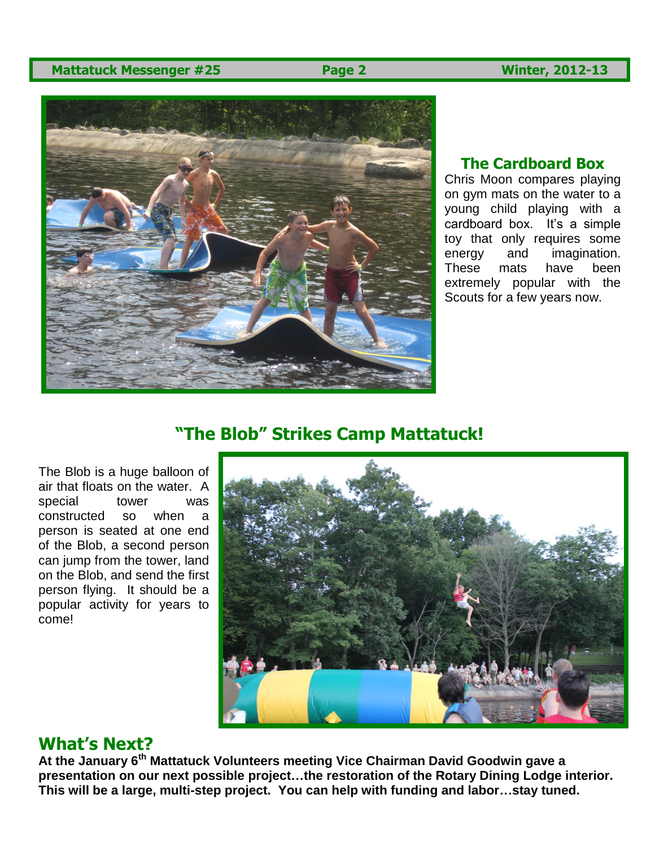#### **Mattatuck Messenger #25 Page 2 Winter, 2012-13**



#### **The Cardboard Box**

Chris Moon compares playing on gym mats on the water to a young child playing with a cardboard box. It's a simple toy that only requires some energy and imagination. These mats have been extremely popular with the Scouts for a few years now.

### **"The Blob" Strikes Camp Mattatuck!**

The Blob is a huge balloon of air that floats on the water. A special tower was constructed so when a person is seated at one end of the Blob, a second person can jump from the tower, land on the Blob, and send the first person flying. It should be a popular activity for years to come!



### **What's Next?**

**At the January 6th Mattatuck Volunteers meeting Vice Chairman David Goodwin gave a presentation on our next possible project…the restoration of the Rotary Dining Lodge interior. This will be a large, multi-step project. You can help with funding and labor…stay tuned.**